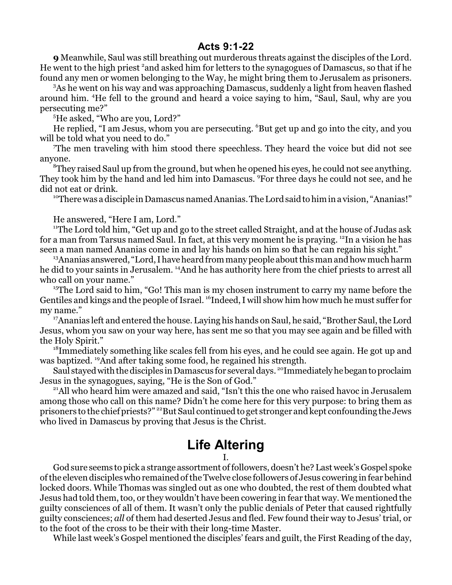## **Acts 9:1-22**

**9** Meanwhile, Saul was still breathing out murderous threats against the disciples of the Lord. He went to the high priest <sup>2</sup>and asked him for letters to the synagogues of Damascus, so that if he found any men or women belonging to the Way, he might bring them to Jerusalem as prisoners.

<sup>3</sup>As he went on his way and was approaching Damascus, suddenly a light from heaven flashed around him. <sup>4</sup>He fell to the ground and heard a voice saying to him, "Saul, Saul, why are you persecuting me?"

<sup>5</sup>He asked, "Who are you, Lord?"

He replied, "I am Jesus, whom you are persecuting. <sup>6</sup>But get up and go into the city, and you will be told what you need to do."

<sup>7</sup>The men traveling with him stood there speechless. They heard the voice but did not see anyone.

 ${}^8$ They raised Saul up from the ground, but when he opened his eyes, he could not see anything. They took him by the hand and led him into Damascus. <sup>9</sup>For three days he could not see, and he did not eat or drink.

<sup>10</sup>There was a disciple in Damascus named Ananias. The Lord said to him in a vision, "Ananias!"

He answered, "Here I am, Lord."

<sup>11</sup>The Lord told him, "Get up and go to the street called Straight, and at the house of Judas ask for a man from Tarsus named Saul. In fact, at this very moment he is praying. <sup>12</sup>In a vision he has seen a man named Ananias come in and lay his hands on him so that he can regain his sight."

 $13$ Ananias answered, "Lord, I have heard from many people about this man and how much harm he did to your saints in Jerusalem. <sup>14</sup>And he has authority here from the chief priests to arrest all who call on your name."

<sup>15</sup>The Lord said to him, "Go! This man is my chosen instrument to carry my name before the Gentiles and kings and the people of Israel. <sup>16</sup>Indeed, I will show him how much he must suffer for my name."

<sup>17</sup>Ananias left and entered the house. Laying his hands on Saul, he said, "Brother Saul, the Lord Jesus, whom you saw on your way here, has sent me so that you may see again and be filled with the Holy Spirit."

 $^{18}$ Immediately something like scales fell from his eyes, and he could see again. He got up and was baptized. <sup>19</sup>And after taking some food, he regained his strength.

Saul stayed with the disciples in Damascus for several days. <sup>20</sup>Immediately he began to proclaim Jesus in the synagogues, saying, "He is the Son of God."

<sup>21</sup>All who heard him were amazed and said, "Isn't this the one who raised havoc in Jerusalem among those who call on this name? Didn't he come here for this very purpose: to bring them as prisoners to the chiefpriests?" <sup>22</sup>But Saul continued to get stronger and kept confounding the Jews who lived in Damascus by proving that Jesus is the Christ.

## **Life Altering**

## I.

God sure seems to pick a strange assortment offollowers, doesn't he? Last week's Gospel spoke ofthe eleven disciples who remained ofthe Twelve close followers of Jesus cowering in fear behind locked doors. While Thomas was singled out as one who doubted, the rest of them doubted what Jesus had told them, too, or they wouldn't have been cowering in fear that way. We mentioned the guilty consciences of all of them. It wasn't only the public denials of Peter that caused rightfully guilty consciences; *all* of them had deserted Jesus and fled. Few found their way to Jesus' trial, or to the foot of the cross to be their with their long-time Master.

While last week's Gospel mentioned the disciples' fears and guilt, the First Reading of the day,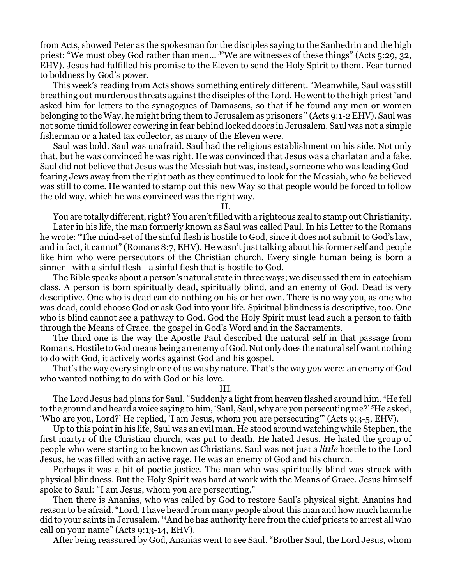from Acts, showed Peter as the spokesman for the disciples saying to the Sanhedrin and the high priest: "We must obey God rather than men... <sup>32</sup>We are witnesses of these things" (Acts 5:29, 32, EHV). Jesus had fulfilled his promise to the Eleven to send the Holy Spirit to them. Fear turned to boldness by God's power.

This week's reading from Acts shows something entirely different. "Meanwhile, Saul was still breathing out murderous threats against the disciples of the Lord. He went to the high priest <sup>2</sup>and asked him for letters to the synagogues of Damascus, so that if he found any men or women belonging to the Way, he might bring them to Jerusalem as prisoners " (Acts 9:1-2 EHV). Saul was not some timid follower cowering in fear behind locked doors in Jerusalem. Saul was not a simple fisherman or a hated tax collector, as many of the Eleven were.

Saul was bold. Saul was unafraid. Saul had the religious establishment on his side. Not only that, but he was convinced he was right. He was convinced that Jesus was a charlatan and a fake. Saul did not believe that Jesus was the Messiah but was, instead, someone who was leading Godfearing Jews away from the right path as they continued to look for the Messiah, who *he* believed was still to come. He wanted to stamp out this new Way so that people would be forced to follow the old way, which he was convinced was the right way.

II.

You are totally different, right? You aren'tfilled with a righteous zeal to stamp out Christianity.

Later in his life, the man formerly known as Saul was called Paul. In his Letter to the Romans he wrote: "The mind-set of the sinful flesh is hostile to God, since it does not submit to God's law, and in fact, it cannot" (Romans 8:7, EHV). He wasn't just talking about his former self and people like him who were persecutors of the Christian church. Every single human being is born a sinner—with a sinful flesh—a sinful flesh that is hostile to God.

The Bible speaks about a person's natural state in three ways; we discussed them in catechism class. A person is born spiritually dead, spiritually blind, and an enemy of God. Dead is very descriptive. One who is dead can do nothing on his or her own. There is no way you, as one who was dead, could choose God or ask God into your life. Spiritual blindness is descriptive, too. One who is blind cannot see a pathway to God. God the Holy Spirit must lead such a person to faith through the Means of Grace, the gospel in God's Word and in the Sacraments.

The third one is the way the Apostle Paul described the natural self in that passage from Romans. Hostile to God means being an enemy of God. Not only does the natural self want nothing to do with God, it actively works against God and his gospel.

That's the way every single one of us was by nature. That's the way *you* were: an enemy of God who wanted nothing to do with God or his love.

## III.

The Lord Jesus had plans for Saul. "Suddenly a light from heaven flashed around him. <sup>4</sup>He fell to the ground and heard a voice saying to him, 'Saul, Saul, why are you persecuting me?' <sup>5</sup>He asked, 'Who are you, Lord?' He replied, 'I am Jesus, whom you are persecuting'" (Acts 9:3-5, EHV).

Up to this point in his life, Saul was an evil man. He stood around watching while Stephen, the first martyr of the Christian church, was put to death. He hated Jesus. He hated the group of people who were starting to be known as Christians. Saul was not just a *little* hostile to the Lord Jesus, he was filled with an active rage. He was an enemy of God and his church.

Perhaps it was a bit of poetic justice. The man who was spiritually blind was struck with physical blindness. But the Holy Spirit was hard at work with the Means of Grace. Jesus himself spoke to Saul: "I am Jesus, whom you are persecuting."

Then there is Ananias, who was called by God to restore Saul's physical sight. Ananias had reason to be afraid. "Lord, I have heard from many people about this man and how much harm he did to your saints in Jerusalem. <sup>14</sup>And he has authority here from the chief priests to arrest all who call on your name" (Acts 9:13-14, EHV).

After being reassured by God, Ananias went to see Saul. "Brother Saul, the Lord Jesus, whom